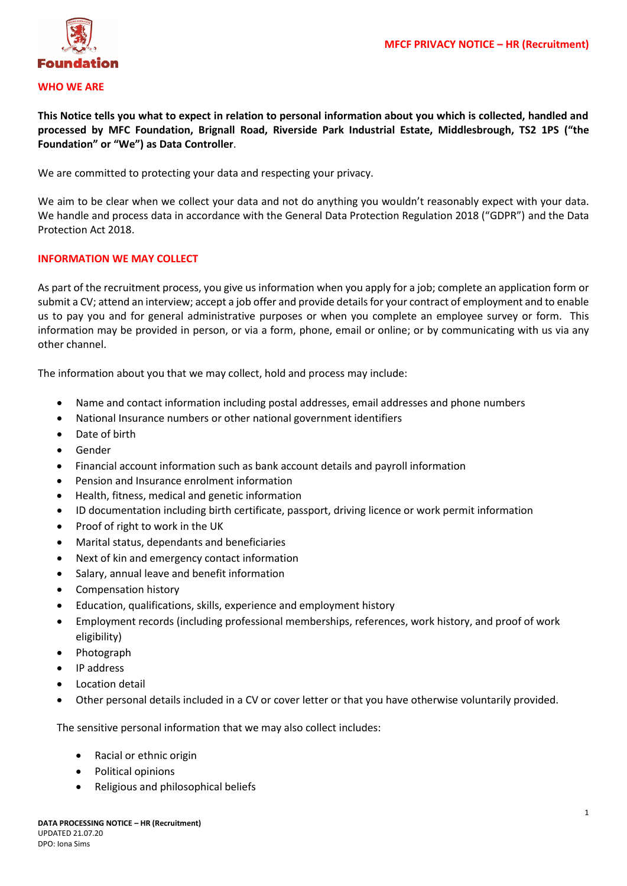

## **WHO WE ARE**

**This Notice tells you what to expect in relation to personal information about you which is collected, handled and processed by MFC Foundation, Brignall Road, Riverside Park Industrial Estate, Middlesbrough, TS2 1PS ("the Foundation" or "We") as Data Controller**.

We are committed to protecting your data and respecting your privacy.

We aim to be clear when we collect your data and not do anything you wouldn't reasonably expect with your data. We handle and process data in accordance with the General Data Protection Regulation 2018 ("GDPR") and the Data Protection Act 2018.

## **INFORMATION WE MAY COLLECT**

As part of the recruitment process, you give us information when you apply for a job; complete an application form or submit a CV; attend an interview; accept a job offer and provide details for your contract of employment and to enable us to pay you and for general administrative purposes or when you complete an employee survey or form. This information may be provided in person, or via a form, phone, email or online; or by communicating with us via any other channel.

The information about you that we may collect, hold and process may include:

- Name and contact information including postal addresses, email addresses and phone numbers
- National Insurance numbers or other national government identifiers
- Date of birth
- Gender
- Financial account information such as bank account details and payroll information
- Pension and Insurance enrolment information
- Health, fitness, medical and genetic information
- ID documentation including birth certificate, passport, driving licence or work permit information
- Proof of right to work in the UK
- Marital status, dependants and beneficiaries
- Next of kin and emergency contact information
- Salary, annual leave and benefit information
- Compensation history
- Education, qualifications, skills, experience and employment history
- Employment records (including professional memberships, references, work history, and proof of work eligibility)
- Photograph
- IP address
- **Location detail**
- Other personal details included in a CV or cover letter or that you have otherwise voluntarily provided.

The sensitive personal information that we may also collect includes:

- Racial or ethnic origin
- Political opinions
- Religious and philosophical beliefs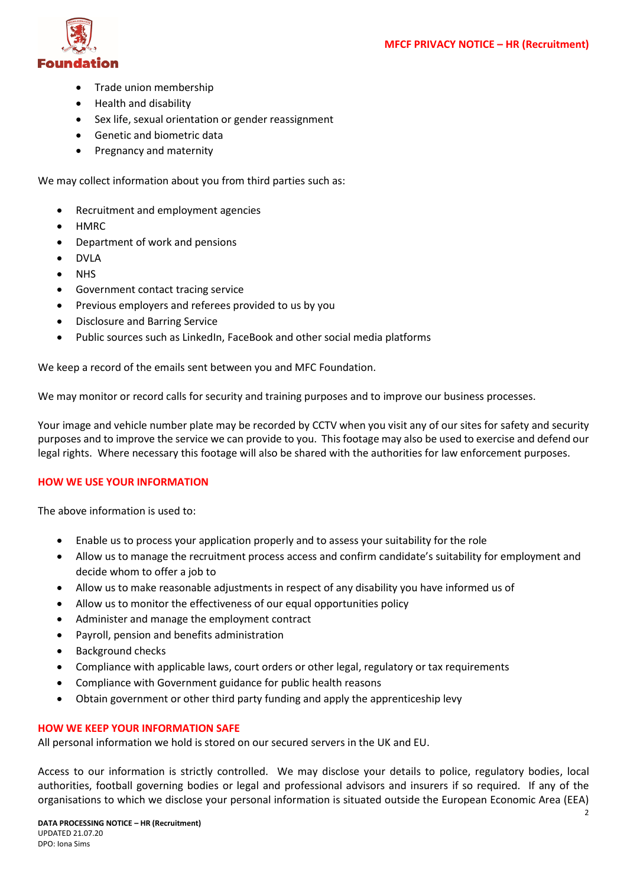

- Trade union membership
- Health and disability
- Sex life, sexual orientation or gender reassignment
- Genetic and biometric data
- Pregnancy and maternity

We may collect information about you from third parties such as:

- Recruitment and employment agencies
- HMRC
- Department of work and pensions
- DVLA
- NHS
- Government contact tracing service
- Previous employers and referees provided to us by you
- Disclosure and Barring Service
- Public sources such as LinkedIn, FaceBook and other social media platforms

We keep a record of the emails sent between you and MFC Foundation.

We may monitor or record calls for security and training purposes and to improve our business processes.

Your image and vehicle number plate may be recorded by CCTV when you visit any of our sites for safety and security purposes and to improve the service we can provide to you. This footage may also be used to exercise and defend our legal rights. Where necessary this footage will also be shared with the authorities for law enforcement purposes.

# **HOW WE USE YOUR INFORMATION**

The above information is used to:

- Enable us to process your application properly and to assess your suitability for the role
- Allow us to manage the recruitment process access and confirm candidate's suitability for employment and decide whom to offer a job to
- Allow us to make reasonable adjustments in respect of any disability you have informed us of
- Allow us to monitor the effectiveness of our equal opportunities policy
- Administer and manage the employment contract
- Payroll, pension and benefits administration
- Background checks
- Compliance with applicable laws, court orders or other legal, regulatory or tax requirements
- Compliance with Government guidance for public health reasons
- Obtain government or other third party funding and apply the apprenticeship levy

# **HOW WE KEEP YOUR INFORMATION SAFE**

All personal information we hold is stored on our secured servers in the UK and EU.

Access to our information is strictly controlled. We may disclose your details to police, regulatory bodies, local authorities, football governing bodies or legal and professional advisors and insurers if so required. If any of the organisations to which we disclose your personal information is situated outside the European Economic Area (EEA)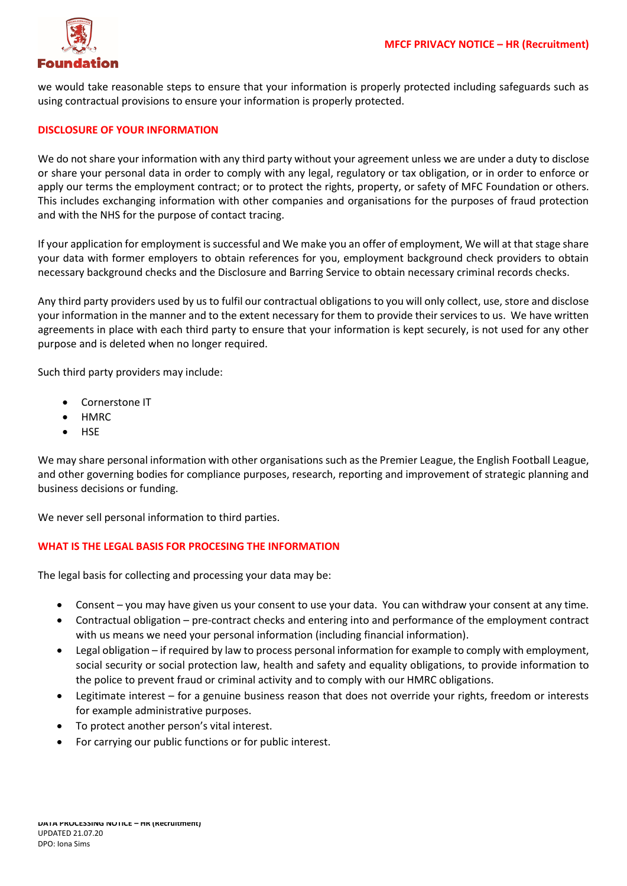

we would take reasonable steps to ensure that your information is properly protected including safeguards such as using contractual provisions to ensure your information is properly protected.

#### **DISCLOSURE OF YOUR INFORMATION**

We do not share your information with any third party without your agreement unless we are under a duty to disclose or share your personal data in order to comply with any legal, regulatory or tax obligation, or in order to enforce or apply our terms the employment contract; or to protect the rights, property, or safety of MFC Foundation or others. This includes exchanging information with other companies and organisations for the purposes of fraud protection and with the NHS for the purpose of contact tracing.

If your application for employment is successful and We make you an offer of employment, We will at that stage share your data with former employers to obtain references for you, employment background check providers to obtain necessary background checks and the Disclosure and Barring Service to obtain necessary criminal records checks.

Any third party providers used by us to fulfil our contractual obligations to you will only collect, use, store and disclose your information in the manner and to the extent necessary for them to provide their services to us. We have written agreements in place with each third party to ensure that your information is kept securely, is not used for any other purpose and is deleted when no longer required.

Such third party providers may include:

- Cornerstone IT
- HMRC
- HSE

We may share personal information with other organisations such as the Premier League, the English Football League, and other governing bodies for compliance purposes, research, reporting and improvement of strategic planning and business decisions or funding.

We never sell personal information to third parties.

## **WHAT IS THE LEGAL BASIS FOR PROCESING THE INFORMATION**

The legal basis for collecting and processing your data may be:

- Consent you may have given us your consent to use your data. You can withdraw your consent at any time.
- Contractual obligation pre-contract checks and entering into and performance of the employment contract with us means we need your personal information (including financial information).
- Legal obligation if required by law to process personal information for example to comply with employment, social security or social protection law, health and safety and equality obligations, to provide information to the police to prevent fraud or criminal activity and to comply with our HMRC obligations.
- Legitimate interest for a genuine business reason that does not override your rights, freedom or interests for example administrative purposes.
- To protect another person's vital interest.
- For carrying our public functions or for public interest.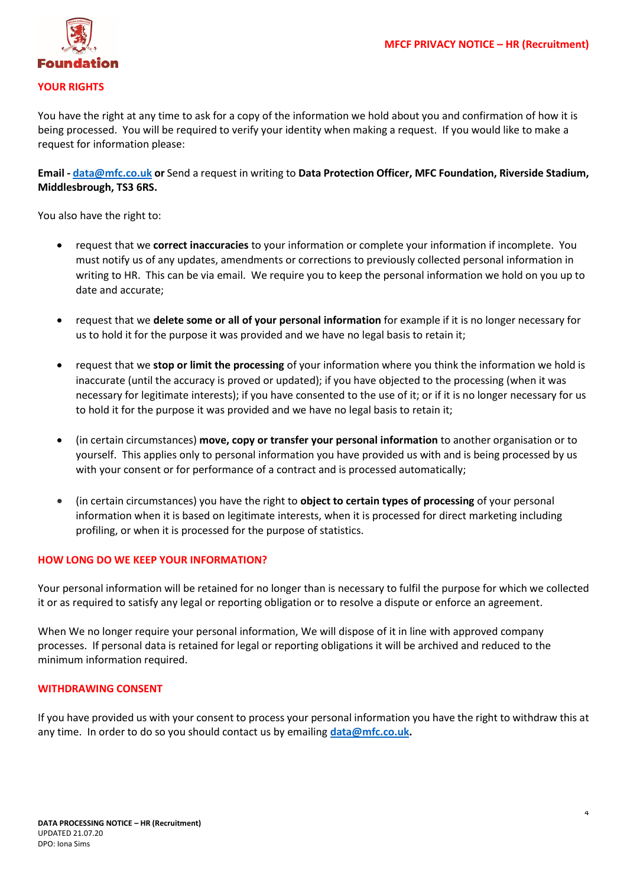

## **YOUR RIGHTS**

You have the right at any time to ask for a copy of the information we hold about you and confirmation of how it is being processed. You will be required to verify your identity when making a request. If you would like to make a request for information please:

**Email - [data@mfc.co.uk](mailto:data@mfc.co.uk) or** Send a request in writing to **Data Protection Officer, MFC Foundation, Riverside Stadium, Middlesbrough, TS3 6RS.**

You also have the right to:

- request that we **correct inaccuracies** to your information or complete your information if incomplete. You must notify us of any updates, amendments or corrections to previously collected personal information in writing to HR. This can be via email. We require you to keep the personal information we hold on you up to date and accurate;
- request that we **delete some or all of your personal information** for example if it is no longer necessary for us to hold it for the purpose it was provided and we have no legal basis to retain it;
- request that we **stop or limit the processing** of your information where you think the information we hold is inaccurate (until the accuracy is proved or updated); if you have objected to the processing (when it was necessary for legitimate interests); if you have consented to the use of it; or if it is no longer necessary for us to hold it for the purpose it was provided and we have no legal basis to retain it;
- (in certain circumstances) **move, copy or transfer your personal information** to another organisation or to yourself. This applies only to personal information you have provided us with and is being processed by us with your consent or for performance of a contract and is processed automatically;
- (in certain circumstances) you have the right to **object to certain types of processing** of your personal information when it is based on legitimate interests, when it is processed for direct marketing including profiling, or when it is processed for the purpose of statistics.

## **HOW LONG DO WE KEEP YOUR INFORMATION?**

Your personal information will be retained for no longer than is necessary to fulfil the purpose for which we collected it or as required to satisfy any legal or reporting obligation or to resolve a dispute or enforce an agreement.

When We no longer require your personal information, We will dispose of it in line with approved company processes. If personal data is retained for legal or reporting obligations it will be archived and reduced to the minimum information required.

#### **WITHDRAWING CONSENT**

If you have provided us with your consent to process your personal information you have the right to withdraw this at any time. In order to do so you should contact us by emailing **[data@mfc.co.uk.](mailto:data@mfc.co.uk)**